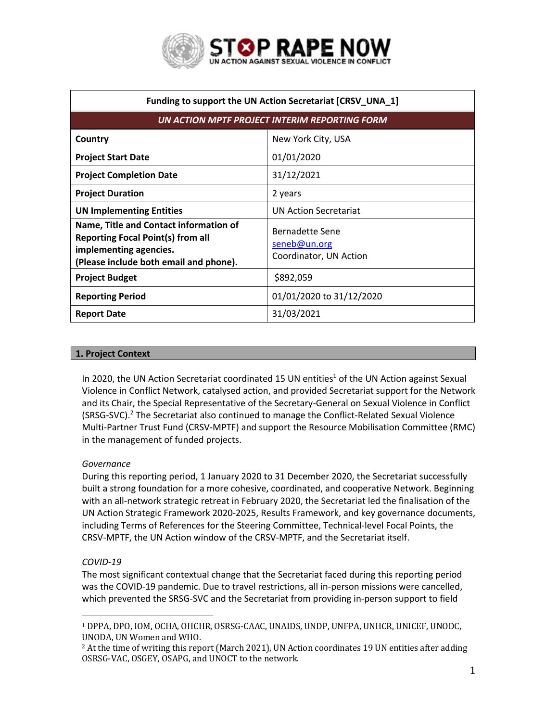

| Funding to support the UN Action Secretariat [CRSV_UNA_1]                                                                                              |                                                           |
|--------------------------------------------------------------------------------------------------------------------------------------------------------|-----------------------------------------------------------|
| UN ACTION MPTF PROJECT INTERIM REPORTING FORM                                                                                                          |                                                           |
| Country                                                                                                                                                | New York City, USA                                        |
| <b>Project Start Date</b>                                                                                                                              | 01/01/2020                                                |
| <b>Project Completion Date</b>                                                                                                                         | 31/12/2021                                                |
| <b>Project Duration</b>                                                                                                                                | 2 years                                                   |
| <b>UN Implementing Entities</b>                                                                                                                        | <b>UN Action Secretariat</b>                              |
| Name, Title and Contact information of<br><b>Reporting Focal Point(s) from all</b><br>implementing agencies.<br>(Please include both email and phone). | Bernadette Sene<br>seneb@un.org<br>Coordinator, UN Action |
| <b>Project Budget</b>                                                                                                                                  | \$892,059                                                 |
| <b>Reporting Period</b>                                                                                                                                | 01/01/2020 to 31/12/2020                                  |
| <b>Report Date</b>                                                                                                                                     | 31/03/2021                                                |

## **1. Project Context**

In 2020, the UN Action Secretariat coordinated 15 UN entities<sup>1</sup> of the UN Action against Sexual Violence in Conflict Network, catalysed action, and provided Secretariat support for the Network and its Chair, the Special Representative of the Secretary-General on Sexual Violence in Conflict  $(SRSG-SVC).<sup>2</sup>$  The Secretariat also continued to manage the Conflict-Related Sexual Violence Multi-Partner Trust Fund (CRSV-MPTF) and support the Resource Mobilisation Committee (RMC) in the management of funded projects.

## *Governance*

During this reporting period, 1 January 2020 to 31 December 2020, the Secretariat successfully built a strong foundation for a more cohesive, coordinated, and cooperative Network. Beginning with an all-network strategic retreat in February 2020, the Secretariat led the finalisation of the UN Action Strategic Framework 2020-2025, Results Framework, and key governance documents, including Terms of References for the Steering Committee, Technical-level Focal Points, the CRSV-MPTF, the UN Action window of the CRSV-MPTF, and the Secretariat itself.

# *COVID-19*

The most significant contextual change that the Secretariat faced during this reporting period was the COVID-19 pandemic. Due to travel restrictions, all in-person missions were cancelled, which prevented the SRSG-SVC and the Secretariat from providing in-person support to field

<sup>&</sup>lt;sup>1</sup> DPPA, DPO, IOM, OCHA, OHCHR, OSRSG-CAAC, UNAIDS, UNDP, UNFPA, UNHCR, UNICEF, UNODC, UNODA, UN Women and WHO.

 $2$  At the time of writing this report (March 2021), UN Action coordinates 19 UN entities after adding OSRSG-VAC, OSGEY, OSAPG, and UNOCT to the network.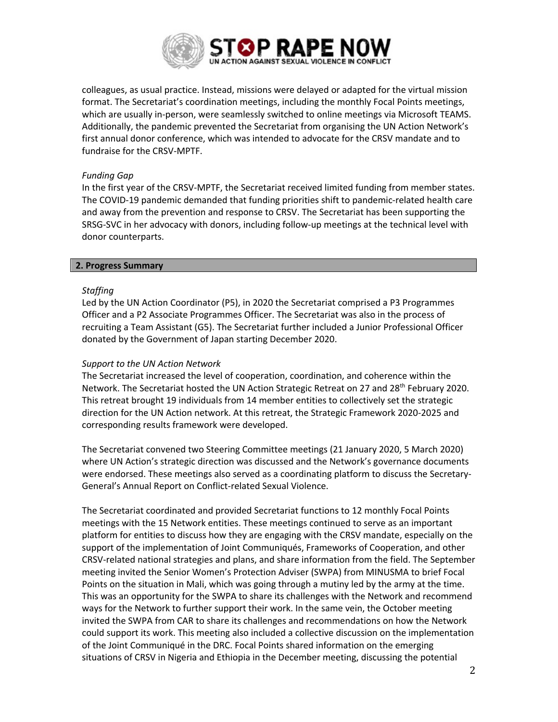

colleagues, as usual practice. Instead, missions were delayed or adapted for the virtual mission format. The Secretariat's coordination meetings, including the monthly Focal Points meetings, which are usually in-person, were seamlessly switched to online meetings via Microsoft TEAMS. Additionally, the pandemic prevented the Secretariat from organising the UN Action Network's first annual donor conference, which was intended to advocate for the CRSV mandate and to fundraise for the CRSV-MPTF.

## *Funding Gap*

In the first year of the CRSV-MPTF, the Secretariat received limited funding from member states. The COVID-19 pandemic demanded that funding priorities shift to pandemic-related health care and away from the prevention and response to CRSV. The Secretariat has been supporting the SRSG-SVC in her advocacy with donors, including follow-up meetings at the technical level with donor counterparts.

## **2. Progress Summary**

## *Staffing*

Led by the UN Action Coordinator (P5), in 2020 the Secretariat comprised a P3 Programmes Officer and a P2 Associate Programmes Officer. The Secretariat was also in the process of recruiting a Team Assistant (G5). The Secretariat further included a Junior Professional Officer donated by the Government of Japan starting December 2020.

## *Support to the UN Action Network*

The Secretariat increased the level of cooperation, coordination, and coherence within the Network. The Secretariat hosted the UN Action Strategic Retreat on 27 and 28<sup>th</sup> February 2020. This retreat brought 19 individuals from 14 member entities to collectively set the strategic direction for the UN Action network. At this retreat, the Strategic Framework 2020-2025 and corresponding results framework were developed.

The Secretariat convened two Steering Committee meetings (21 January 2020, 5 March 2020) where UN Action's strategic direction was discussed and the Network's governance documents were endorsed. These meetings also served as a coordinating platform to discuss the Secretary-General's Annual Report on Conflict-related Sexual Violence.

The Secretariat coordinated and provided Secretariat functions to 12 monthly Focal Points meetings with the 15 Network entities. These meetings continued to serve as an important platform for entities to discuss how they are engaging with the CRSV mandate, especially on the support of the implementation of Joint Communiqués, Frameworks of Cooperation, and other CRSV-related national strategies and plans, and share information from the field. The September meeting invited the Senior Women's Protection Adviser (SWPA) from MINUSMA to brief Focal Points on the situation in Mali, which was going through a mutiny led by the army at the time. This was an opportunity for the SWPA to share its challenges with the Network and recommend ways for the Network to further support their work. In the same vein, the October meeting invited the SWPA from CAR to share its challenges and recommendations on how the Network could support its work. This meeting also included a collective discussion on the implementation of the Joint Communiqué in the DRC. Focal Points shared information on the emerging situations of CRSV in Nigeria and Ethiopia in the December meeting, discussing the potential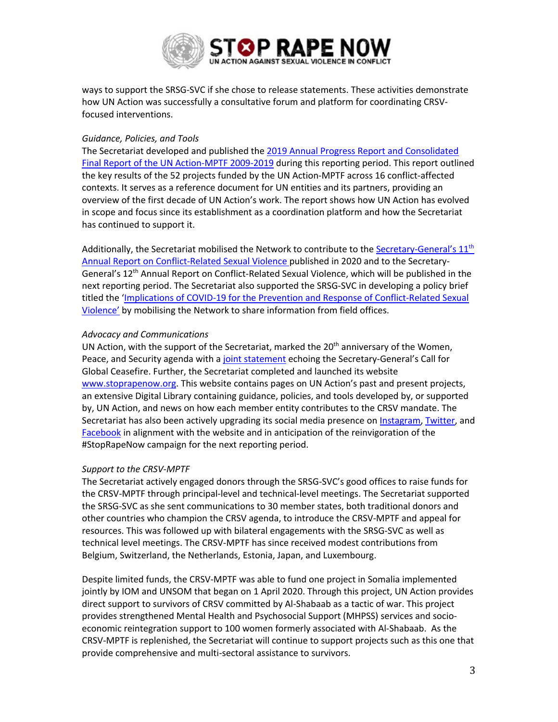

ways to support the SRSG-SVC if she chose to release statements. These activities demonstrate how UN Action was successfully a consultative forum and platform for coordinating CRSVfocused interventions.

### *Guidance, Policies, and Tools*

The Secretariat developed and published the 2019 Annual Progress Report and Consolidated Final Report of the UN Action-MPTF 2009-2019 during this reporting period. This report outlined the key results of the 52 projects funded by the UN Action-MPTF across 16 conflict-affected contexts. It serves as a reference document for UN entities and its partners, providing an overview of the first decade of UN Action's work. The report shows how UN Action has evolved in scope and focus since its establishment as a coordination platform and how the Secretariat has continued to support it.

Additionally, the Secretariat mobilised the Network to contribute to the Secretary-General's 11<sup>th</sup> Annual Report on Conflict-Related Sexual Violence published in 2020 and to the Secretary-General's 12th Annual Report on Conflict-Related Sexual Violence, which will be published in the next reporting period. The Secretariat also supported the SRSG-SVC in developing a policy brief titled the 'Implications of COVID-19 for the Prevention and Response of Conflict-Related Sexual Violence' by mobilising the Network to share information from field offices.

### *Advocacy and Communications*

UN Action, with the support of the Secretariat, marked the  $20<sup>th</sup>$  anniversary of the Women, Peace, and Security agenda with a joint statement echoing the Secretary-General's Call for Global Ceasefire. Further, the Secretariat completed and launched its website www.stoprapenow.org. This website contains pages on UN Action's past and present projects, an extensive Digital Library containing guidance, policies, and tools developed by, or supported by, UN Action, and news on how each member entity contributes to the CRSV mandate. The Secretariat has also been actively upgrading its social media presence on Instagram, Twitter, and Facebook in alignment with the website and in anticipation of the reinvigoration of the #StopRapeNow campaign for the next reporting period.

## *Support to the CRSV-MPTF*

The Secretariat actively engaged donors through the SRSG-SVC's good offices to raise funds for the CRSV-MPTF through principal-level and technical-level meetings. The Secretariat supported the SRSG-SVC as she sent communications to 30 member states, both traditional donors and other countries who champion the CRSV agenda, to introduce the CRSV-MPTF and appeal for resources. This was followed up with bilateral engagements with the SRSG-SVC as well as technical level meetings. The CRSV-MPTF has since received modest contributions from Belgium, Switzerland, the Netherlands, Estonia, Japan, and Luxembourg.

Despite limited funds, the CRSV-MPTF was able to fund one project in Somalia implemented jointly by IOM and UNSOM that began on 1 April 2020. Through this project, UN Action provides direct support to survivors of CRSV committed by Al-Shabaab as a tactic of war. This project provides strengthened Mental Health and Psychosocial Support (MHPSS) services and socioeconomic reintegration support to 100 women formerly associated with Al-Shabaab. As the CRSV-MPTF is replenished, the Secretariat will continue to support projects such as this one that provide comprehensive and multi-sectoral assistance to survivors.